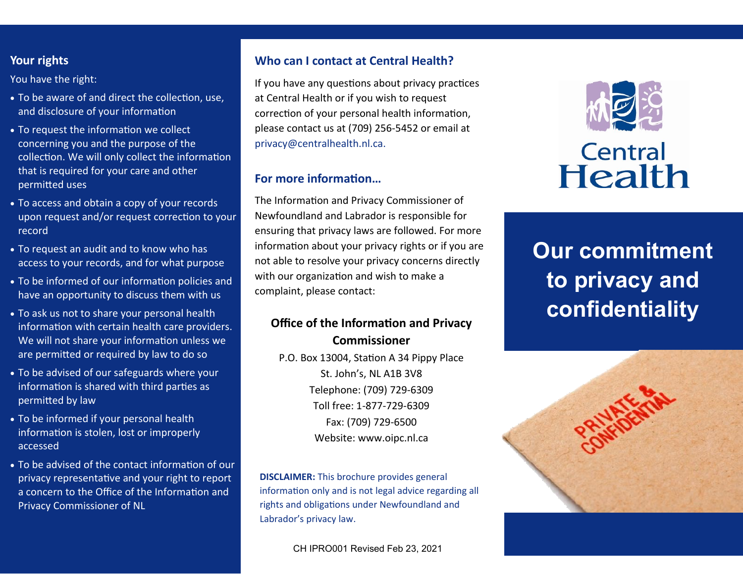## **Your rights**

You have the right:

- To be aware of and direct the collection, use, and disclosure of your information
- To request the information we collect concerning you and the purpose of the collection. We will only collect the information that is required for your care and other permitted uses
- To access and obtain a copy of your records upon request and/or request correction to your record
- To request an audit and to know who has access to your records, and for what purpose
- To be informed of our information policies and have an opportunity to discuss them with us
- To ask us not to share your personal health information with certain health care providers. We will not share your information unless we are permitted or required by law to do so
- To be advised of our safeguards where your information is shared with third parties as permitted by law
- To be informed if your personal health information is stolen, lost or improperly accessed
- To be advised of the contact information of our privacy representative and your right to report a concern to the Office of the Information and Privacy Commissioner of NL

# **Who can I contact at Central Health?**

If you have any questions about privacy practices at Central Health or if you wish to request correction of your personal health information, please contact us at (709) 256-5452 or email at [privacy@centralhealth.nl.ca.](mailto:privacy@centralhealth.nl.ca)

# **For more information…**

The Information and Privacy Commissioner of Newfoundland and Labrador is responsible for ensuring that privacy laws are followed. For more information about your privacy rights or if you are not able to resolve your privacy concerns directly with our organization and wish to make a complaint, please contact:

# **Office of the Information and Privacy Commissioner**

P.O. Box 13004, Station A 34 Pippy Place St. John's, NL A1B 3V8 Telephone: (709) 729-6309 Toll free: 1-877-729-6309 Fax: (709) 729-6500 Website: [www.oipc.nl.ca](http://www.oipc.nl.ca/)

**DISCLAIMER:** This brochure provides general information only and is not legal advice regarding all rights and obligations under Newfoundland and Labrador's privacy law.

CH IPRO001 Revised Feb 23, 2021



# **Our commitment to privacy and confidentiality**